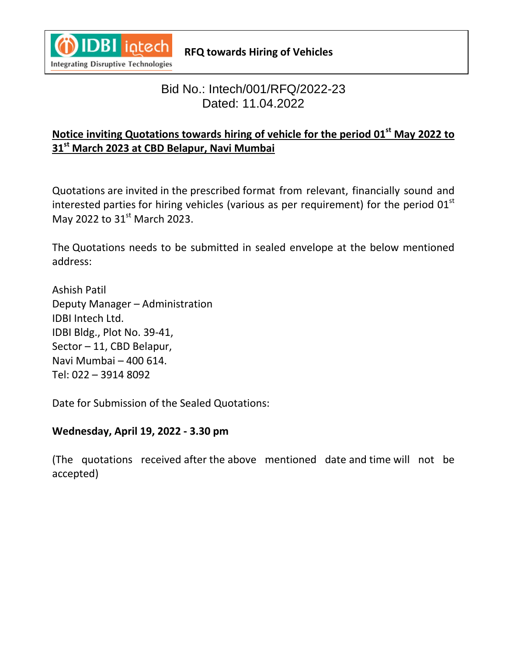

# Bid No.: Intech/001/RFQ/2022-23 Dated: 11.04.2022

## **Notice inviting Quotations towards hiring of vehicle for the period 01st May 2022 to 31st March 2023 at CBD Belapur, Navi Mumbai**

Quotations are invited in the prescribed format from relevant, financially sound and interested parties for hiring vehicles (various as per requirement) for the period  $01<sup>st</sup>$ May 2022 to 31<sup>st</sup> March 2023.

The Quotations needs to be submitted in sealed envelope at the below mentioned address:

Ashish Patil Deputy Manager – Administration IDBI Intech Ltd. IDBI Bldg., Plot No. 39-41, Sector – 11, CBD Belapur, Navi Mumbai – 400 614. Tel: 022 – 3914 8092

Date for Submission of the Sealed Quotations:

### **Wednesday, April 19, 2022 - 3.30 pm**

(The quotations received after the above mentioned date and time will not be accepted)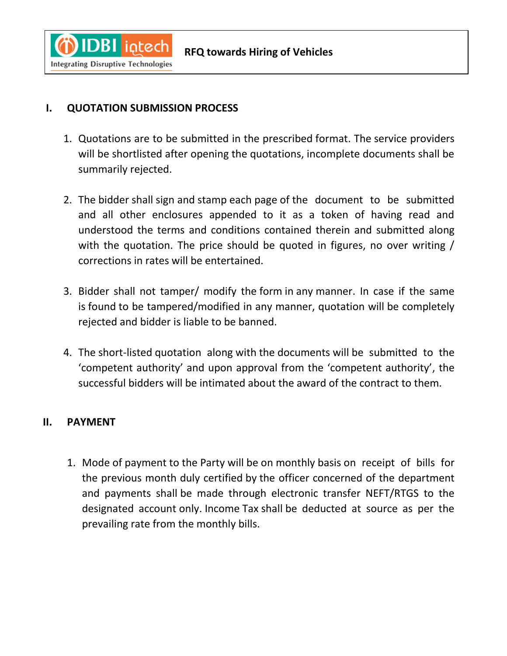**IDBI** intech  $\mathbf C$ **Integrating Disruptive Technologies** 

### **I. QUOTATION SUBMISSION PROCESS**

- 1. Quotations are to be submitted in the prescribed format. The service providers will be shortlisted after opening the quotations, incomplete documents shall be summarily rejected.
- 2. The bidder shall sign and stamp each page of the document to be submitted and all other enclosures appended to it as a token of having read and understood the terms and conditions contained therein and submitted along with the quotation. The price should be quoted in figures, no over writing / corrections in rates will be entertained.
- 3. Bidder shall not tamper/ modify the form in any manner. In case if the same is found to be tampered/modified in any manner, quotation will be completely rejected and bidder is liable to be banned.
- 4. The short-listed quotation along with the documents will be submitted to the 'competent authority' and upon approval from the 'competent authority', the successful bidders will be intimated about the award of the contract to them.

### **II. PAYMENT**

1. Mode of payment to the Party will be on monthly basis on receipt of bills for the previous month duly certified by the officer concerned of the department and payments shall be made through electronic transfer NEFT/RTGS to the designated account only. Income Tax shall be deducted at source as per the prevailing rate from the monthly bills.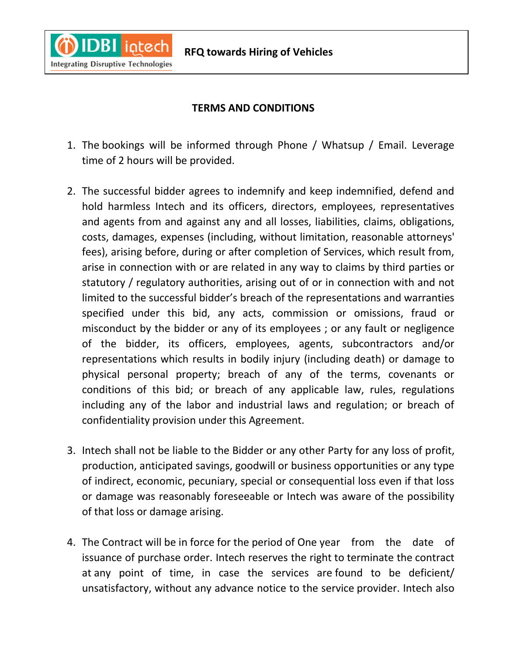**RFQ towards Hiring of Vehicles**



### **TERMS AND CONDITIONS**

- 1. The bookings will be informed through Phone / Whatsup / Email. Leverage time of 2 hours will be provided.
- 2. The successful bidder agrees to indemnify and keep indemnified, defend and hold harmless Intech and its officers, directors, employees, representatives and agents from and against any and all losses, liabilities, claims, obligations, costs, damages, expenses (including, without limitation, reasonable attorneys' fees), arising before, during or after completion of Services, which result from, arise in connection with or are related in any way to claims by third parties or statutory / regulatory authorities, arising out of or in connection with and not limited to the successful bidder's breach of the representations and warranties specified under this bid, any acts, commission or omissions, fraud or misconduct by the bidder or any of its employees ; or any fault or negligence of the bidder, its officers, employees, agents, subcontractors and/or representations which results in bodily injury (including death) or damage to physical personal property; breach of any of the terms, covenants or conditions of this bid; or breach of any applicable law, rules, regulations including any of the labor and industrial laws and regulation; or breach of confidentiality provision under this Agreement.
- 3. Intech shall not be liable to the Bidder or any other Party for any loss of profit, production, anticipated savings, goodwill or business opportunities or any type of indirect, economic, pecuniary, special or consequential loss even if that loss or damage was reasonably foreseeable or Intech was aware of the possibility of that loss or damage arising.
- 4. The Contract will be in force for the period of One year from the date of issuance of purchase order. Intech reserves the right to terminate the contract at any point of time, in case the services are found to be deficient/ unsatisfactory, without any advance notice to the service provider. Intech also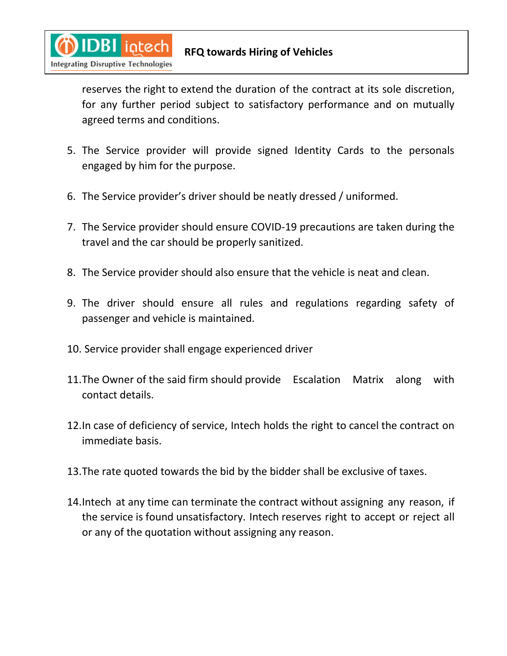reserves the right to extend the duration of the contract at its sole discretion, for any further period subject to satisfactory performance and on mutually agreed terms and conditions.

- 5. The Service provider will provide signed Identity Cards to the personals engaged by him for the purpose.
- 6. The Service provider's driver should be neatly dressed / uniformed.
- 7. The Service provider should ensure COVID-19 precautions are taken during the travel and the car should be properly sanitized.
- 8. The Service provider should also ensure that the vehicle is neat and clean.
- 9. The driver should ensure all rules and regulations regarding safety of passenger and vehicle is maintained.
- 10. Service provider shall engage experienced driver
- 11.The Owner of the said firm should provide Escalation Matrix along with contact details.
- 12.In case of deficiency of service, Intech holds the right to cancel the contract on immediate basis.
- 13.The rate quoted towards the bid by the bidder shall be exclusive of taxes.
- 14.Intech at any time can terminate the contract without assigning any reason, if the service is found unsatisfactory. Intech reserves right to accept or reject all or any of the quotation without assigning any reason.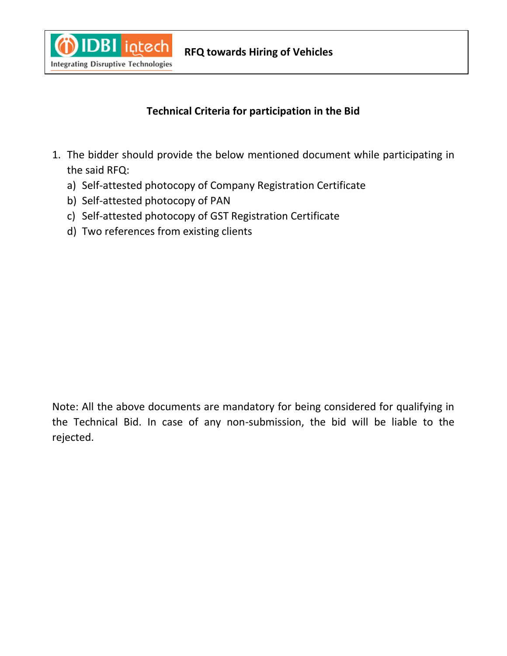

### **Technical Criteria for participation in the Bid**

- 1. The bidder should provide the below mentioned document while participating in the said RFQ:
	- a) Self-attested photocopy of Company Registration Certificate
	- b) Self-attested photocopy of PAN
	- c) Self-attested photocopy of GST Registration Certificate
	- d) Two references from existing clients

Note: All the above documents are mandatory for being considered for qualifying in the Technical Bid. In case of any non-submission, the bid will be liable to the rejected.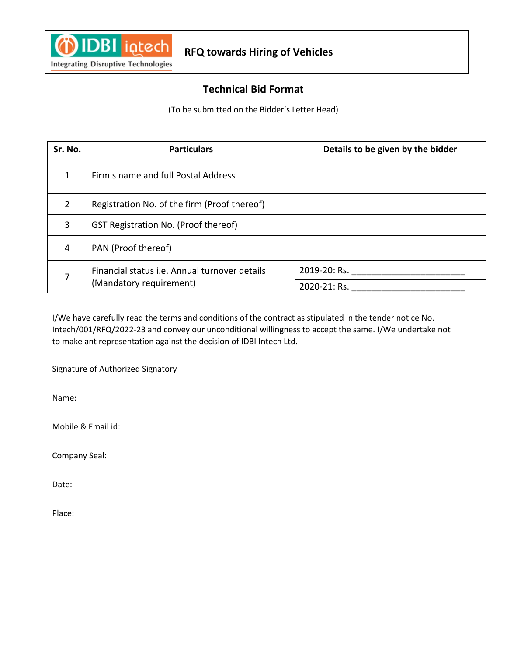

### **Technical Bid Format**

(To be submitted on the Bidder's Letter Head)

| Sr. No. | <b>Particulars</b>                                                       | Details to be given by the bidder |
|---------|--------------------------------------------------------------------------|-----------------------------------|
| 1       | Firm's name and full Postal Address                                      |                                   |
| 2       | Registration No. of the firm (Proof thereof)                             |                                   |
| 3       | GST Registration No. (Proof thereof)                                     |                                   |
| 4       | PAN (Proof thereof)                                                      |                                   |
| 7       | Financial status i.e. Annual turnover details<br>(Mandatory requirement) | 2019-20: Rs.                      |
|         |                                                                          | 2020-21: Rs.                      |

I/We have carefully read the terms and conditions of the contract as stipulated in the tender notice No. Intech/001/RFQ/2022-23 and convey our unconditional willingness to accept the same. I/We undertake not to make ant representation against the decision of IDBI Intech Ltd.

Signature of Authorized Signatory

Name:

Mobile & Email id:

Company Seal:

Date:

Place: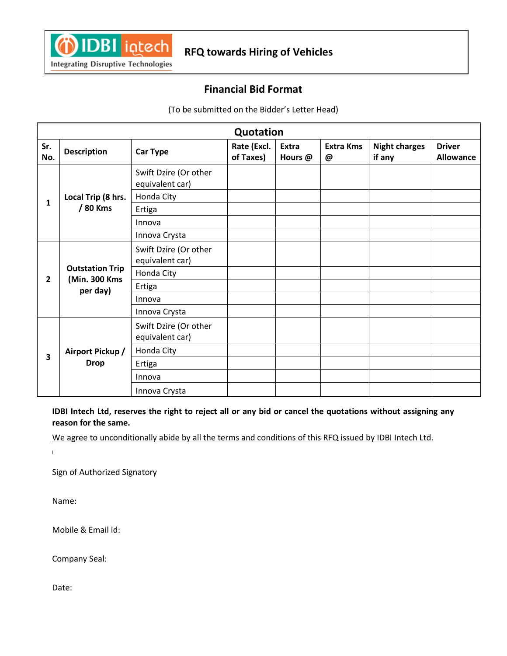

### **Financial Bid Format**

(To be submitted on the Bidder's Letter Head)

| Quotation               |                                                     |                                          |                          |                         |                       |                                |                                   |  |  |
|-------------------------|-----------------------------------------------------|------------------------------------------|--------------------------|-------------------------|-----------------------|--------------------------------|-----------------------------------|--|--|
| Sr.<br>No.              | <b>Description</b>                                  | <b>Car Type</b>                          | Rate (Excl.<br>of Taxes) | <b>Extra</b><br>Hours @ | <b>Extra Kms</b><br>@ | <b>Night charges</b><br>if any | <b>Driver</b><br><b>Allowance</b> |  |  |
| 1                       | Local Trip (8 hrs.<br>/ 80 Kms                      | Swift Dzire (Or other<br>equivalent car) |                          |                         |                       |                                |                                   |  |  |
|                         |                                                     | Honda City                               |                          |                         |                       |                                |                                   |  |  |
|                         |                                                     | Ertiga                                   |                          |                         |                       |                                |                                   |  |  |
|                         |                                                     | Innova                                   |                          |                         |                       |                                |                                   |  |  |
|                         |                                                     | Innova Crysta                            |                          |                         |                       |                                |                                   |  |  |
| $\overline{2}$          | <b>Outstation Trip</b><br>(Min. 300 Kms<br>per day) | Swift Dzire (Or other<br>equivalent car) |                          |                         |                       |                                |                                   |  |  |
|                         |                                                     | Honda City                               |                          |                         |                       |                                |                                   |  |  |
|                         |                                                     | Ertiga                                   |                          |                         |                       |                                |                                   |  |  |
|                         |                                                     | Innova                                   |                          |                         |                       |                                |                                   |  |  |
|                         |                                                     | Innova Crysta                            |                          |                         |                       |                                |                                   |  |  |
| $\overline{\mathbf{3}}$ | Airport Pickup /<br><b>Drop</b>                     | Swift Dzire (Or other<br>equivalent car) |                          |                         |                       |                                |                                   |  |  |
|                         |                                                     | Honda City                               |                          |                         |                       |                                |                                   |  |  |
|                         |                                                     | Ertiga                                   |                          |                         |                       |                                |                                   |  |  |
|                         |                                                     | Innova                                   |                          |                         |                       |                                |                                   |  |  |
|                         |                                                     | Innova Crysta                            |                          |                         |                       |                                |                                   |  |  |

**IDBI Intech Ltd, reserves the right to reject all or any bid or cancel the quotations without assigning any reason for the same.**

We agree to unconditionally abide by all the terms and conditions of this RFQ issued by IDBI Intech Ltd.

 $\bar{\rm I}$ 

Sign of Authorized Signatory

Name:

Mobile & Email id:

Company Seal:

Date: